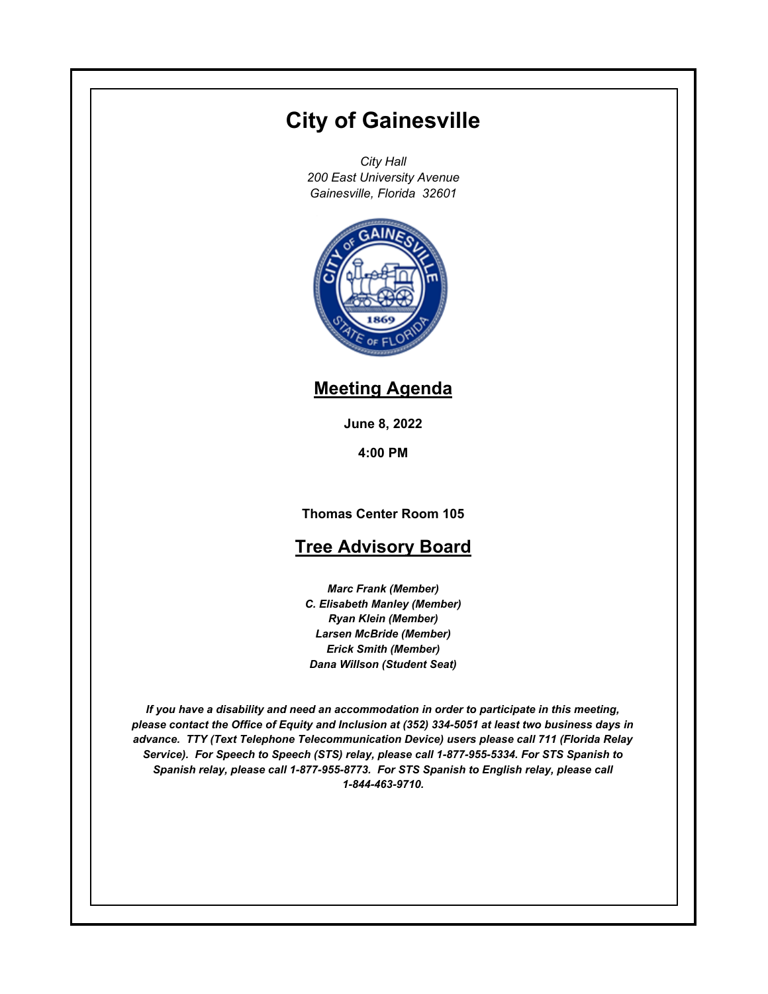# **City of Gainesville**

*City Hall 200 East University Avenue Gainesville, Florida 32601*



## **Meeting Agenda**

**June 8, 2022**

**4:00 PM**

**Thomas Center Room 105**

## **Tree Advisory Board**

*Marc Frank (Member) C. Elisabeth Manley (Member) Ryan Klein (Member) Larsen McBride (Member) Erick Smith (Member) Dana Willson (Student Seat)*

*If you have a disability and need an accommodation in order to participate in this meeting, please contact the Office of Equity and Inclusion at (352) 334-5051 at least two business days in advance. TTY (Text Telephone Telecommunication Device) users please call 711 (Florida Relay Service). For Speech to Speech (STS) relay, please call 1-877-955-5334. For STS Spanish to Spanish relay, please call 1-877-955-8773. For STS Spanish to English relay, please call 1-844-463-9710.*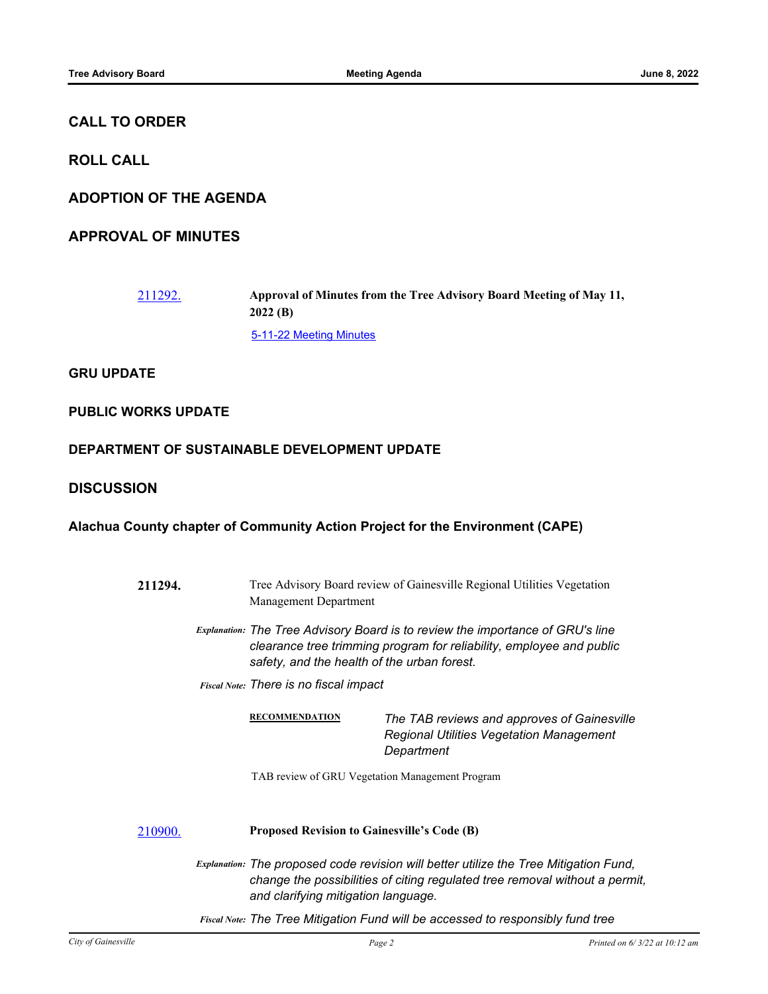### **CALL TO ORDER**

**ROLL CALL**

**ADOPTION OF THE AGENDA**

**APPROVAL OF MINUTES**

[211292.](http://gainesville.legistar.com/gateway.aspx?m=l&id=/matter.aspx?key=34074) **Approval of Minutes from the Tree Advisory Board Meeting of May 11, 2022 (B)** [5-11-22 Meeting Minutes](http://Gainesville.legistar.com/gateway.aspx?M=F&ID=7e90ed66-34bf-4ff7-b5f6-b19e9e401687.pdf)

**GRU UPDATE**

**PUBLIC WORKS UPDATE**

**DEPARTMENT OF SUSTAINABLE DEVELOPMENT UPDATE**

### **DISCUSSION**

**Alachua County chapter of Community Action Project for the Environment (CAPE)**

| 211294. | Tree Advisory Board review of Gainesville Regional Utilities Vegetation<br>Management Department                                                                                                             |  |  |
|---------|--------------------------------------------------------------------------------------------------------------------------------------------------------------------------------------------------------------|--|--|
|         | <b>Explanation: The Tree Advisory Board is to review the importance of GRU's line</b><br>clearance tree trimming program for reliability, employee and public<br>safety, and the health of the urban forest. |  |  |
|         | <b>Fiscal Note: There is no fiscal impact</b>                                                                                                                                                                |  |  |
|         | <b>RECOMMENDATION</b><br>The TAB reviews and approves of Gainesville<br><b>Regional Utilities Vegetation Management</b><br>Department                                                                        |  |  |
|         | TAB review of GRU Vegetation Management Program                                                                                                                                                              |  |  |
| 210900. | <b>Proposed Revision to Gainesville's Code (B)</b>                                                                                                                                                           |  |  |
|         | Explanation: The proposed code revision will better utilize the Tree Mitigation Fund,<br>change the possibilities of citing regulated tree removal without a permit,<br>and clarifying mitigation language.  |  |  |
|         | Fiscal Note: The Tree Mitigation Fund will be accessed to responsibly fund tree                                                                                                                              |  |  |